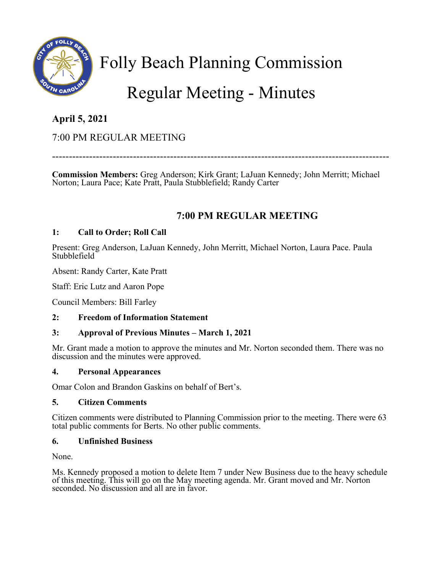

Folly Beach Planning Commission

# Regular Meeting - Minutes

# **April 5, 2021**

# 7:00 PM REGULAR MEETING

----------------------------------------------------------------------------------------------------

**Commission Members:** Greg Anderson; Kirk Grant; LaJuan Kennedy; John Merritt; Michael Norton; Laura Pace; Kate Pratt, Paula Stubblefield; Randy Carter

# **7:00 PM REGULAR MEETING**

## **1: Call to Order; Roll Call**

Present: Greg Anderson, LaJuan Kennedy, John Merritt, Michael Norton, Laura Pace. Paula Stubblefield

Absent: Randy Carter, Kate Pratt

Staff: Eric Lutz and Aaron Pope

Council Members: Bill Farley

## **2: Freedom of Information Statement**

## **3: Approval of Previous Minutes – March 1, 2021**

Mr. Grant made a motion to approve the minutes and Mr. Norton seconded them. There was no discussion and the minutes were approved.

### **4. Personal Appearances**

Omar Colon and Brandon Gaskins on behalf of Bert's.

### **5. Citizen Comments**

Citizen comments were distributed to Planning Commission prior to the meeting. There were 63 total public comments for Berts. No other public comments.

### **6. Unfinished Business**

None.

Ms. Kennedy proposed a motion to delete Item 7 under New Business due to the heavy schedule of this meeting. This will go on the May meeting agenda. Mr. Grant moved and Mr. Norton seconded. No discussion and all are in favor.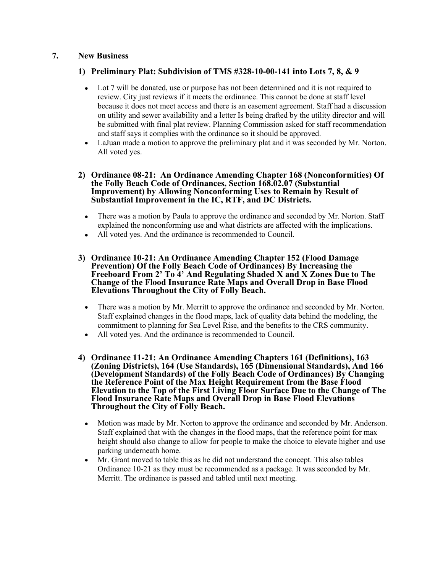#### **7. New Business**

#### **1) Preliminary Plat: Subdivision of TMS #328-10-00-141 into Lots 7, 8, & 9**

- Lot 7 will be donated, use or purpose has not been determined and it is not required to review. City just reviews if it meets the ordinance. This cannot be done at staff level because it does not meet access and there is an easement agreement. Staff had a discussion on utility and sewer availability and a letter Is being drafted by the utility director and will be submitted with final plat review. Planning Commission asked for staff recommendation and staff says it complies with the ordinance so it should be approved.
- LaJuan made a motion to approve the preliminary plat and it was seconded by Mr. Norton. All voted yes.
- **2) Ordinance 08-21: An Ordinance Amending Chapter 168 (Nonconformities) Of the Folly Beach Code of Ordinances, Section 168.02.07 (Substantial Improvement) by Allowing Nonconforming Uses to Remain by Result of Substantial Improvement in the IC, RTF, and DC Districts.**
	- There was a motion by Paula to approve the ordinance and seconded by Mr. Norton. Staff explained the nonconforming use and what districts are affected with the implications.
	- All voted yes. And the ordinance is recommended to Council.
- **3) Ordinance 10-21: An Ordinance Amending Chapter 152 (Flood Damage Prevention) Of the Folly Beach Code of Ordinances) By Increasing the Freeboard From 2' To 4' And Regulating Shaded X and X Zones Due to The Change of the Flood Insurance Rate Maps and Overall Drop in Base Flood Elevations Throughout the City of Folly Beach.**
	- There was a motion by Mr. Merritt to approve the ordinance and seconded by Mr. Norton. Staff explained changes in the flood maps, lack of quality data behind the modeling, the commitment to planning for Sea Level Rise, and the benefits to the CRS community.
	- All voted yes. And the ordinance is recommended to Council.
- **4) Ordinance 11-21: An Ordinance Amending Chapters 161 (Definitions), 163 (Zoning Districts), 164 (Use Standards), 165 (Dimensional Standards), And 166 (Development Standards) of the Folly Beach Code of Ordinances) By Changing the Reference Point of the Max Height Requirement from the Base Flood Elevation to the Top of the First Living Floor Surface Due to the Change of The Flood Insurance Rate Maps and Overall Drop in Base Flood Elevations Throughout the City of Folly Beach.**
	- Motion was made by Mr. Norton to approve the ordinance and seconded by Mr. Anderson. Staff explained that with the changes in the flood maps, that the reference point for max height should also change to allow for people to make the choice to elevate higher and use parking underneath home.
	- Mr. Grant moved to table this as he did not understand the concept. This also tables Ordinance 10-21 as they must be recommended as a package. It was seconded by Mr. Merritt. The ordinance is passed and tabled until next meeting.